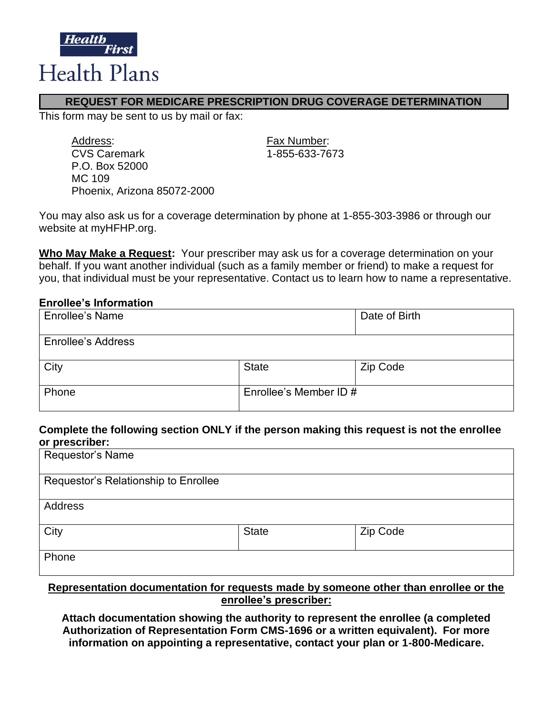

# **REQUEST FOR MEDICARE PRESCRIPTION DRUG COVERAGE DETERMINATION**

This form may be sent to us by mail or fax:

| Address:                    |
|-----------------------------|
| <b>CVS Caremark</b>         |
| P.O. Box 52000              |
| MC 109                      |
| Phoenix, Arizona 85072-2000 |

Fax Number: CVS Caremark 1-855-633-7673

You may also ask us for a coverage determination by phone at 1-855-303-3986 or through our website at myHFHP.org.

**Who May Make a Request:** Your prescriber may ask us for a coverage determination on your behalf. If you want another individual (such as a family member or friend) to make a request for you, that individual must be your representative. Contact us to learn how to name a representative.

#### **Enrollee's Information**

| <b>Enrollee's Name</b>    |                        | Date of Birth |
|---------------------------|------------------------|---------------|
| <b>Enrollee's Address</b> |                        |               |
| City                      | <b>State</b>           | Zip Code      |
| Phone                     | Enrollee's Member ID # |               |

#### **Complete the following section ONLY if the person making this request is not the enrollee or prescriber:**

| Requestor's Name                     |              |          |
|--------------------------------------|--------------|----------|
| Requestor's Relationship to Enrollee |              |          |
| Address                              |              |          |
| City                                 | <b>State</b> | Zip Code |
| Phone                                |              |          |

### **Representation documentation for requests made by someone other than enrollee or the enrollee's prescriber:**

**Attach documentation showing the authority to represent the enrollee (a completed Authorization of Representation Form CMS-1696 or a written equivalent). For more information on appointing a representative, contact your plan or 1-800-Medicare.**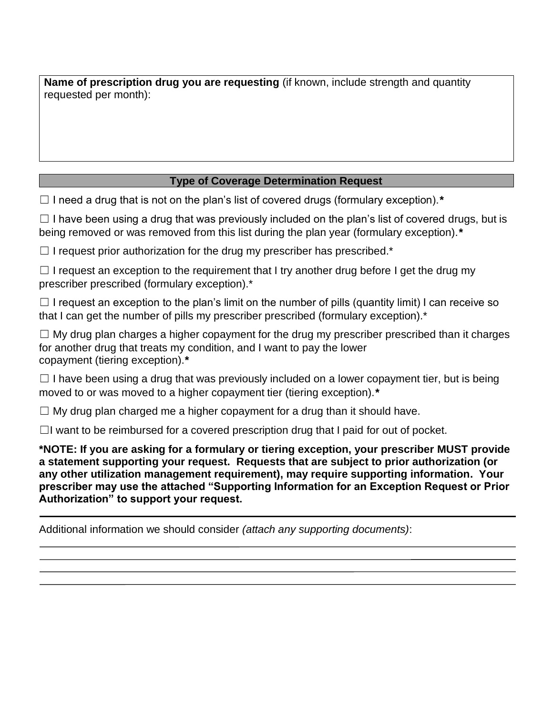**Name of prescription drug you are requesting** (if known, include strength and quantity requested per month):

# **Type of Coverage Determination Request**

☐ I need a drug that is not on the plan's list of covered drugs (formulary exception).*\**

 $\Box$  I have been using a drug that was previously included on the plan's list of covered drugs, but is being removed or was removed from this list during the plan year (formulary exception).*\**

 $\Box$  I request prior authorization for the drug my prescriber has prescribed.\*

 $\Box$  I request an exception to the requirement that I try another drug before I get the drug my prescriber prescribed (formulary exception).\*

 $\Box$  I request an exception to the plan's limit on the number of pills (quantity limit) I can receive so that I can get the number of pills my prescriber prescribed (formulary exception).<sup>\*</sup>

 $\Box$  My drug plan charges a higher copayment for the drug my prescriber prescribed than it charges for another drug that treats my condition, and I want to pay the lower copayment (tiering exception).*\**

 $\Box$  I have been using a drug that was previously included on a lower copayment tier, but is being moved to or was moved to a higher copayment tier (tiering exception).*\**

 $\Box$  My drug plan charged me a higher copayment for a drug than it should have.

 $\Box$ I want to be reimbursed for a covered prescription drug that I paid for out of pocket.

**\*NOTE: If you are asking for a formulary or tiering exception, your prescriber MUST provide a statement supporting your request. Requests that are subject to prior authorization (or any other utilization management requirement), may require supporting information. Your prescriber may use the attached "Supporting Information for an Exception Request or Prior Authorization" to support your request.**

Additional information we should consider *(attach any supporting documents)*: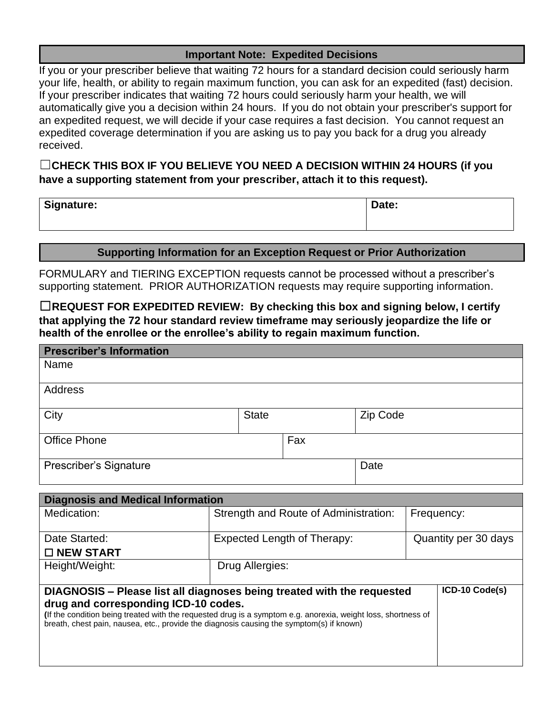## **Important Note: Expedited Decisions**

If you or your prescriber believe that waiting 72 hours for a standard decision could seriously harm your life, health, or ability to regain maximum function, you can ask for an expedited (fast) decision. If your prescriber indicates that waiting 72 hours could seriously harm your health, we will automatically give you a decision within 24 hours. If you do not obtain your prescriber's support for an expedited request, we will decide if your case requires a fast decision. You cannot request an expedited coverage determination if you are asking us to pay you back for a drug you already received.

# ☐**CHECK THIS BOX IF YOU BELIEVE YOU NEED A DECISION WITHIN 24 HOURS (if you have a supporting statement from your prescriber, attach it to this request).**

| Signature: | Date: |
|------------|-------|
|------------|-------|

### **Supporting Information for an Exception Request or Prior Authorization**

FORMULARY and TIERING EXCEPTION requests cannot be processed without a prescriber's supporting statement. PRIOR AUTHORIZATION requests may require supporting information.

☐**REQUEST FOR EXPEDITED REVIEW: By checking this box and signing below, I certify that applying the 72 hour standard review timeframe may seriously jeopardize the life or health of the enrollee or the enrollee's ability to regain maximum function.**

| <b>Prescriber's Information</b>                                                                                                                                                                                                                   |                                    |                 |                                       |          |                |
|---------------------------------------------------------------------------------------------------------------------------------------------------------------------------------------------------------------------------------------------------|------------------------------------|-----------------|---------------------------------------|----------|----------------|
| Name                                                                                                                                                                                                                                              |                                    |                 |                                       |          |                |
| <b>Address</b>                                                                                                                                                                                                                                    |                                    |                 |                                       |          |                |
| City                                                                                                                                                                                                                                              |                                    | <b>State</b>    |                                       | Zip Code |                |
| <b>Office Phone</b>                                                                                                                                                                                                                               |                                    |                 | Fax                                   |          |                |
| Prescriber's Signature                                                                                                                                                                                                                            |                                    |                 |                                       | Date     |                |
| <b>Diagnosis and Medical Information</b>                                                                                                                                                                                                          |                                    |                 |                                       |          |                |
| Medication:                                                                                                                                                                                                                                       |                                    |                 | Strength and Route of Administration: |          | Frequency:     |
| Date Started:<br>$\square$ NEW START                                                                                                                                                                                                              | <b>Expected Length of Therapy:</b> |                 | Quantity per 30 days                  |          |                |
| Height/Weight:                                                                                                                                                                                                                                    |                                    | Drug Allergies: |                                       |          |                |
| DIAGNOSIS - Please list all diagnoses being treated with the requested                                                                                                                                                                            |                                    |                 |                                       |          | ICD-10 Code(s) |
| drug and corresponding ICD-10 codes.<br>(If the condition being treated with the requested drug is a symptom e.g. anorexia, weight loss, shortness of<br>breath, chest pain, nausea, etc., provide the diagnosis causing the symptom(s) if known) |                                    |                 |                                       |          |                |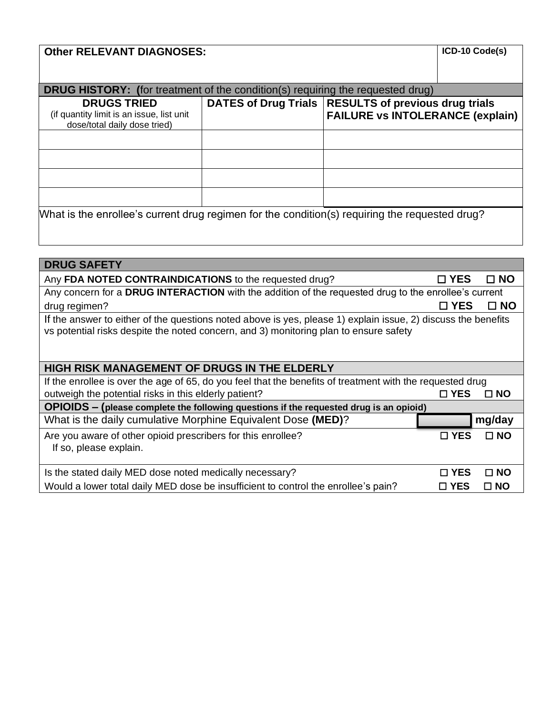# **Other RELEVANT DIAGNOSES:**  $|ICD-10 \text{ Code(s)}|$

| <b>DRUG HISTORY:</b> (for treatment of the condition(s) requiring the requested drug)           |                                                        |                                         |  |  |  |  |  |
|-------------------------------------------------------------------------------------------------|--------------------------------------------------------|-----------------------------------------|--|--|--|--|--|
| <b>DRUGS TRIED</b><br>(if quantity limit is an issue, list unit<br>dose/total daily dose tried) | DATES of Drug Trials   RESULTS of previous drug trials | <b>FAILURE vs INTOLERANCE (explain)</b> |  |  |  |  |  |
|                                                                                                 |                                                        |                                         |  |  |  |  |  |
|                                                                                                 |                                                        |                                         |  |  |  |  |  |
|                                                                                                 |                                                        |                                         |  |  |  |  |  |
|                                                                                                 |                                                        |                                         |  |  |  |  |  |
| What is the enrollee's current drug regimen for the condition(s) requiring the requested drug?  |                                                        |                                         |  |  |  |  |  |

| <b>DRUG SAFETY</b>                                                                                                                                                                                     |               |           |  |  |  |  |
|--------------------------------------------------------------------------------------------------------------------------------------------------------------------------------------------------------|---------------|-----------|--|--|--|--|
| Any FDA NOTED CONTRAINDICATIONS to the requested drug?                                                                                                                                                 | □ YES         | $\Box$ NO |  |  |  |  |
| Any concern for a DRUG INTERACTION with the addition of the requested drug to the enrollee's current                                                                                                   |               |           |  |  |  |  |
| drug regimen?                                                                                                                                                                                          | $\square$ YES | $\Box$ NO |  |  |  |  |
| If the answer to either of the questions noted above is yes, please 1) explain issue, 2) discuss the benefits<br>vs potential risks despite the noted concern, and 3) monitoring plan to ensure safety |               |           |  |  |  |  |
| <b>HIGH RISK MANAGEMENT OF DRUGS IN THE ELDERLY</b>                                                                                                                                                    |               |           |  |  |  |  |
| If the enrollee is over the age of 65, do you feel that the benefits of treatment with the requested drug                                                                                              |               |           |  |  |  |  |
| outweigh the potential risks in this elderly patient?                                                                                                                                                  | $\square$ YES | $\Box$ NO |  |  |  |  |
| OPIOIDS - (please complete the following questions if the requested drug is an opioid)                                                                                                                 |               |           |  |  |  |  |
| What is the daily cumulative Morphine Equivalent Dose (MED)?                                                                                                                                           |               | mg/day    |  |  |  |  |
| Are you aware of other opioid prescribers for this enrollee?<br>If so, please explain.                                                                                                                 | □ YES         | $\Box$ NO |  |  |  |  |
| Is the stated daily MED dose noted medically necessary?                                                                                                                                                | □ YES         | $\Box$ NO |  |  |  |  |
| Would a lower total daily MED dose be insufficient to control the enrollee's pain?                                                                                                                     | □ YES         | $\Box$ NO |  |  |  |  |